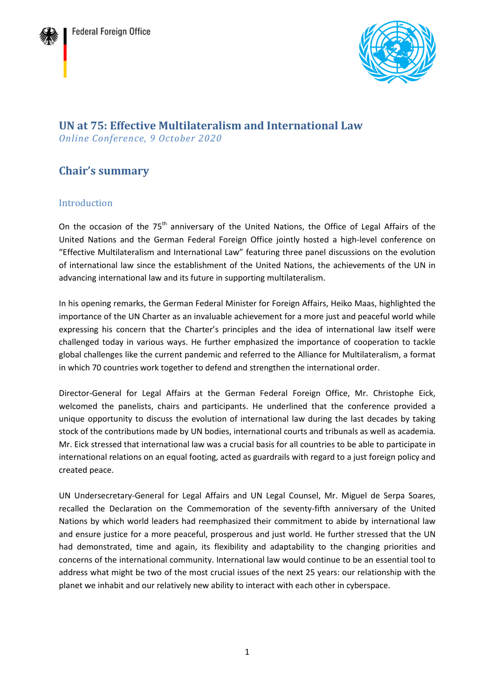



# **UN at 75: Effective Multilateralism and International Law**

*Online Conference, 9 October 2020* 

## **Chair's summary**

## Introduction

On the occasion of the 75<sup>th</sup> anniversary of the United Nations, the Office of Legal Affairs of the United Nations and the German Federal Foreign Office jointly hosted a high-level conference on "Effective Multilateralism and International Law" featuring three panel discussions on the evolution of international law since the establishment of the United Nations, the achievements of the UN in advancing international law and its future in supporting multilateralism.

In his opening remarks, the German Federal Minister for Foreign Affairs, Heiko Maas, highlighted the importance of the UN Charter as an invaluable achievement for a more just and peaceful world while expressing his concern that the Charter's principles and the idea of international law itself were challenged today in various ways. He further emphasized the importance of cooperation to tackle global challenges like the current pandemic and referred to the Alliance for Multilateralism, a format in which 70 countries work together to defend and strengthen the international order.

Director-General for Legal Affairs at the German Federal Foreign Office, Mr. Christophe Eick, welcomed the panelists, chairs and participants. He underlined that the conference provided a unique opportunity to discuss the evolution of international law during the last decades by taking stock of the contributions made by UN bodies, international courts and tribunals as well as academia. Mr. Eick stressed that international law was a crucial basis for all countries to be able to participate in international relations on an equal footing, acted as guardrails with regard to a just foreign policy and created peace.

UN Undersecretary-General for Legal Affairs and UN Legal Counsel, Mr. Miguel de Serpa Soares, recalled the Declaration on the Commemoration of the seventy-fifth anniversary of the United Nations by which world leaders had reemphasized their commitment to abide by international law and ensure justice for a more peaceful, prosperous and just world. He further stressed that the UN had demonstrated, time and again, its flexibility and adaptability to the changing priorities and concerns of the international community. International law would continue to be an essential tool to address what might be two of the most crucial issues of the next 25 years: our relationship with the planet we inhabit and our relatively new ability to interact with each other in cyberspace.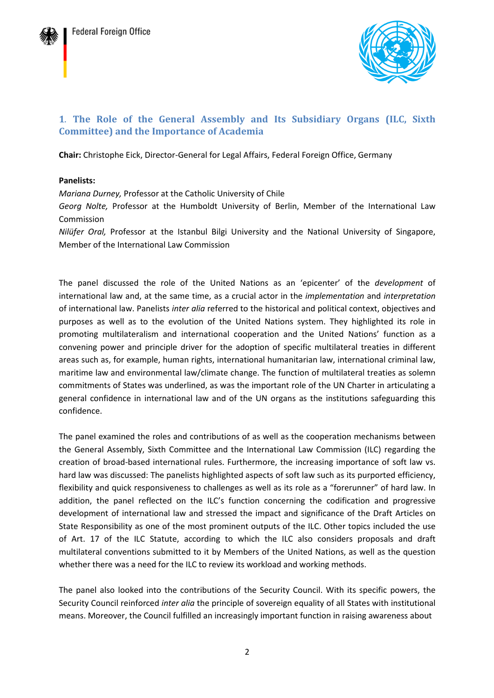



## **1**. **The Role of the General Assembly and Its Subsidiary Organs (ILC, Sixth Committee) and the Importance of Academia**

**Chair:** Christophe Eick, Director-General for Legal Affairs, Federal Foreign Office, Germany

#### **Panelists:**

*Mariana Durney,* Professor at the Catholic University of Chile

*Georg Nolte,* Professor at the Humboldt University of Berlin, Member of the International Law Commission

*Nilüfer Oral,* Professor at the Istanbul Bilgi University and the National University of Singapore, Member of the International Law Commission

The panel discussed the role of the United Nations as an 'epicenter' of the *development* of international law and, at the same time, as a crucial actor in the *implementation* and *interpretation* of international law. Panelists *inter alia* referred to the historical and political context, objectives and purposes as well as to the evolution of the United Nations system. They highlighted its role in promoting multilateralism and international cooperation and the United Nations' function as a convening power and principle driver for the adoption of specific multilateral treaties in different areas such as, for example, human rights, international humanitarian law, international criminal law, maritime law and environmental law/climate change. The function of multilateral treaties as solemn commitments of States was underlined, as was the important role of the UN Charter in articulating a general confidence in international law and of the UN organs as the institutions safeguarding this confidence.

The panel examined the roles and contributions of as well as the cooperation mechanisms between the General Assembly, Sixth Committee and the International Law Commission (ILC) regarding the creation of broad-based international rules. Furthermore, the increasing importance of soft law vs. hard law was discussed: The panelists highlighted aspects of soft law such as its purported efficiency, flexibility and quick responsiveness to challenges as well as its role as a "forerunner" of hard law. In addition, the panel reflected on the ILC's function concerning the codification and progressive development of international law and stressed the impact and significance of the Draft Articles on State Responsibility as one of the most prominent outputs of the ILC. Other topics included the use of Art. 17 of the ILC Statute, according to which the ILC also considers proposals and draft multilateral conventions submitted to it by Members of the United Nations, as well as the question whether there was a need for the ILC to review its workload and working methods.

The panel also looked into the contributions of the Security Council. With its specific powers, the Security Council reinforced *inter alia* the principle of sovereign equality of all States with institutional means. Moreover, the Council fulfilled an increasingly important function in raising awareness about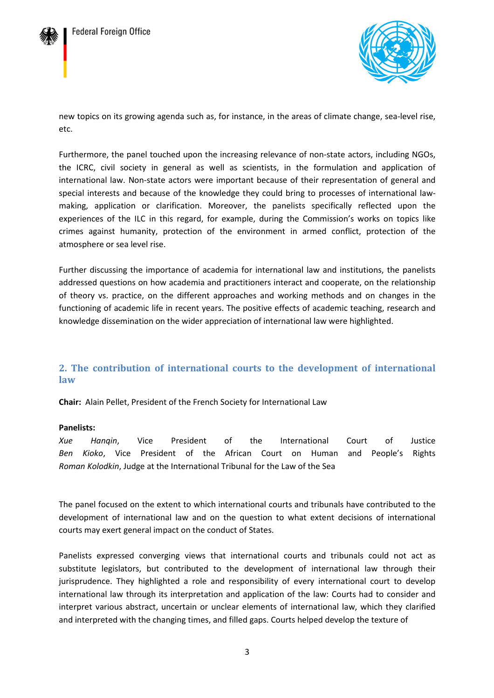



new topics on its growing agenda such as, for instance, in the areas of climate change, sea-level rise, etc.

Furthermore, the panel touched upon the increasing relevance of non-state actors, including NGOs, the ICRC, civil society in general as well as scientists, in the formulation and application of international law. Non-state actors were important because of their representation of general and special interests and because of the knowledge they could bring to processes of international lawmaking, application or clarification. Moreover, the panelists specifically reflected upon the experiences of the ILC in this regard, for example, during the Commission's works on topics like crimes against humanity, protection of the environment in armed conflict, protection of the atmosphere or sea level rise.

Further discussing the importance of academia for international law and institutions, the panelists addressed questions on how academia and practitioners interact and cooperate, on the relationship of theory vs. practice, on the different approaches and working methods and on changes in the functioning of academic life in recent years. The positive effects of academic teaching, research and knowledge dissemination on the wider appreciation of international law were highlighted.

## **2. The contribution of international courts to the development of international law**

**Chair:** Alain Pellet, President of the French Society for International Law

#### **Panelists:**

*Xue Hanqin*, Vice President of the International Court of Justice *Ben Kioko*, Vice President of the African Court on Human and People's Rights *Roman Kolodkin*, Judge at the International Tribunal for the Law of the Sea

The panel focused on the extent to which international courts and tribunals have contributed to the development of international law and on the question to what extent decisions of international courts may exert general impact on the conduct of States.

Panelists expressed converging views that international courts and tribunals could not act as substitute legislators, but contributed to the development of international law through their jurisprudence. They highlighted a role and responsibility of every international court to develop international law through its interpretation and application of the law: Courts had to consider and interpret various abstract, uncertain or unclear elements of international law, which they clarified and interpreted with the changing times, and filled gaps. Courts helped develop the texture of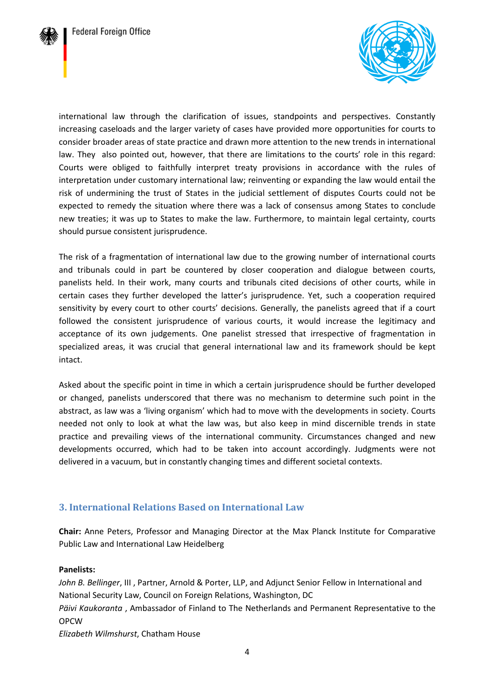



international law through the clarification of issues, standpoints and perspectives. Constantly increasing caseloads and the larger variety of cases have provided more opportunities for courts to consider broader areas of state practice and drawn more attention to the new trends in international law. They also pointed out, however, that there are limitations to the courts' role in this regard: Courts were obliged to faithfully interpret treaty provisions in accordance with the rules of interpretation under customary international law; reinventing or expanding the law would entail the risk of undermining the trust of States in the judicial settlement of disputes Courts could not be expected to remedy the situation where there was a lack of consensus among States to conclude new treaties; it was up to States to make the law. Furthermore, to maintain legal certainty, courts should pursue consistent jurisprudence.

The risk of a fragmentation of international law due to the growing number of international courts and tribunals could in part be countered by closer cooperation and dialogue between courts, panelists held. In their work, many courts and tribunals cited decisions of other courts, while in certain cases they further developed the latter's jurisprudence. Yet, such a cooperation required sensitivity by every court to other courts' decisions. Generally, the panelists agreed that if a court followed the consistent jurisprudence of various courts, it would increase the legitimacy and acceptance of its own judgements. One panelist stressed that irrespective of fragmentation in specialized areas, it was crucial that general international law and its framework should be kept intact.

Asked about the specific point in time in which a certain jurisprudence should be further developed or changed, panelists underscored that there was no mechanism to determine such point in the abstract, as law was a 'living organism' which had to move with the developments in society. Courts needed not only to look at what the law was, but also keep in mind discernible trends in state practice and prevailing views of the international community. Circumstances changed and new developments occurred, which had to be taken into account accordingly. Judgments were not delivered in a vacuum, but in constantly changing times and different societal contexts.

#### **3. International Relations Based on International Law**

**Chair:** Anne Peters, Professor and Managing Director at the Max Planck Institute for Comparative Public Law and International Law Heidelberg

#### **Panelists:**

*John B. Bellinger*, III , Partner, Arnold & Porter, LLP, and Adjunct Senior Fellow in International and National Security Law, Council on Foreign Relations, Washington, DC *Päivi Kaukoranta* , Ambassador of Finland to The Netherlands and Permanent Representative to the OPCW *Elizabeth Wilmshurst*, Chatham House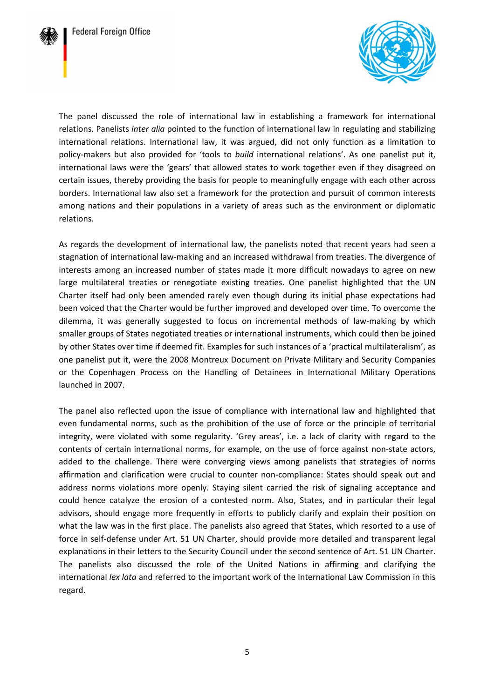



The panel discussed the role of international law in establishing a framework for international relations. Panelists *inter alia* pointed to the function of international law in regulating and stabilizing international relations. International law, it was argued, did not only function as a limitation to policy-makers but also provided for 'tools to *build* international relations'. As one panelist put it, international laws were the 'gears' that allowed states to work together even if they disagreed on certain issues, thereby providing the basis for people to meaningfully engage with each other across borders. International law also set a framework for the protection and pursuit of common interests among nations and their populations in a variety of areas such as the environment or diplomatic relations.

As regards the development of international law, the panelists noted that recent years had seen a stagnation of international law-making and an increased withdrawal from treaties. The divergence of interests among an increased number of states made it more difficult nowadays to agree on new large multilateral treaties or renegotiate existing treaties. One panelist highlighted that the UN Charter itself had only been amended rarely even though during its initial phase expectations had been voiced that the Charter would be further improved and developed over time. To overcome the dilemma, it was generally suggested to focus on incremental methods of law-making by which smaller groups of States negotiated treaties or international instruments, which could then be joined by other States over time if deemed fit. Examples for such instances of a 'practical multilateralism', as one panelist put it, were the 2008 Montreux Document on Private Military and Security Companies or the Copenhagen Process on the Handling of Detainees in International Military Operations launched in 2007.

The panel also reflected upon the issue of compliance with international law and highlighted that even fundamental norms, such as the prohibition of the use of force or the principle of territorial integrity, were violated with some regularity. 'Grey areas', i.e. a lack of clarity with regard to the contents of certain international norms, for example, on the use of force against non-state actors, added to the challenge. There were converging views among panelists that strategies of norms affirmation and clarification were crucial to counter non-compliance: States should speak out and address norms violations more openly. Staying silent carried the risk of signaling acceptance and could hence catalyze the erosion of a contested norm. Also, States, and in particular their legal advisors, should engage more frequently in efforts to publicly clarify and explain their position on what the law was in the first place. The panelists also agreed that States, which resorted to a use of force in self-defense under Art. 51 UN Charter, should provide more detailed and transparent legal explanations in their letters to the Security Council under the second sentence of Art. 51 UN Charter. The panelists also discussed the role of the United Nations in affirming and clarifying the international *lex lata* and referred to the important work of the International Law Commission in this regard.